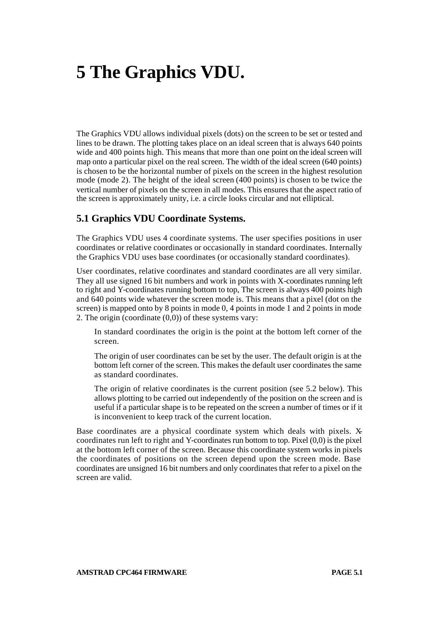# **5 The Graphics VDU.**

The Graphics VDU allows individual pixels (dots) on the screen to be set or tested and lines to be drawn. The plotting takes place on an ideal screen that is always 640 points wide and 400 points high. This means that more than one point on the ideal screen will map onto a particular pixel on the real screen. The width of the ideal screen (640 points) is chosen to be the horizontal number of pixels on the screen in the highest resolution mode (mode 2). The height of the ideal screen (400 points) is chosen to be twice the vertical number of pixels on the screen in all modes. This ensures that the aspect ratio of the screen is approximately unity, i.e. a circle looks circular and not elliptical.

#### **5.1 Graphics VDU Coordinate Systems.**

The Graphics VDU uses 4 coordinate systems. The user specifies positions in user coordinates or relative coordinates or occasionally in standard coordinates. Internally the Graphics VDU uses base coordinates (or occasionally standard coordinates).

User coordinates, relative coordinates and standard coordinates are all very similar. They all use signed 16 bit numbers and work in points with X-coordinates running left to right and Y-coordinates running bottom to top, The screen is always 400 points high and 640 points wide whatever the screen mode is. This means that a pixel (dot on the screen) is mapped onto by 8 points in mode 0, 4 points in mode 1 and 2 points in mode 2. The origin (coordinate (0,0)) of these systems vary:

In standard coordinates the origin is the point at the bottom left corner of the screen.

The origin of user coordinates can be set by the user. The default origin is at the bottom left corner of the screen. This makes the default user coordinates the same as standard coordinates.

The origin of relative coordinates is the current position (see 5.2 below). This allows plotting to be carried out independently of the position on the screen and is useful if a particular shape is to be repeated on the screen a number of times or if it is inconvenient to keep track of the current location.

Base coordinates are a physical coordinate system which deals with pixels. Xcoordinates run left to right and Y-coordinates run bottom to top. Pixel (0,0) is the pixel at the bottom left corner of the screen. Because this coordinate system works in pixels the coordinates of positions on the screen depend upon the screen mode. Base coordinates are unsigned 16 bit numbers and only coordinates that refer to a pixel on the screen are valid.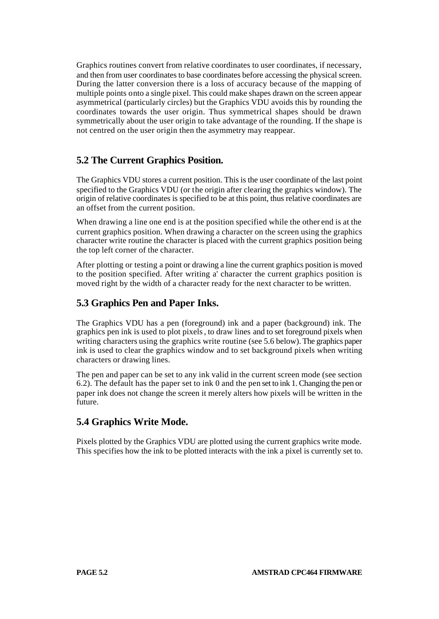Graphics routines convert from relative coordinates to user coordinates, if necessary, and then from user coordinates to base coordinates before accessing the physical screen. During the latter conversion there is a loss of accuracy because of the mapping of multiple points onto a single pixel. This could make shapes drawn on the screen appear asymmetrical (particularly circles) but the Graphics VDU avoids this by rounding the coordinates towards the user origin. Thus symmetrical shapes should be drawn symmetrically about the user origin to take advantage of the rounding. If the shape is not centred on the user origin then the asymmetry may reappear.

## **5.2 The Current Graphics Position.**

The Graphics VDU stores a current position. This is the user coordinate of the last point specified to the Graphics VDU (or the origin after clearing the graphics window). The origin of relative coordinates is specified to be at this point, thus relative coordinates are an offset from the current position.

When drawing a line one end is at the position specified while the other end is at the current graphics position. When drawing a character on the screen using the graphics character write routine the character is placed with the current graphics position being the top left corner of the character.

After plotting or testing a point or drawing a line the current graphics position is moved to the position specified. After writing a' character the current graphics position is moved right by the width of a character ready for the next character to be written.

### **5.3 Graphics Pen and Paper Inks.**

The Graphics VDU has a pen (foreground) ink and a paper (background) ink. The graphics pen ink is used to plot pixels, to draw lines and to set foreground pixels when writing characters using the graphics write routine (see 5.6 below). The graphics paper ink is used to clear the graphics window and to set background pixels when writing characters or drawing lines.

The pen and paper can be set to any ink valid in the current screen mode (see section 6.2). The default has the paper set to ink 0 and the pen set to ink 1. Changing the pen or paper ink does not change the screen it merely alters how pixels will be written in the future.

### **5.4 Graphics Write Mode.**

Pixels plotted by the Graphics VDU are plotted using the current graphics write mode. This specifies how the ink to be plotted interacts with the ink a pixel is currently set to.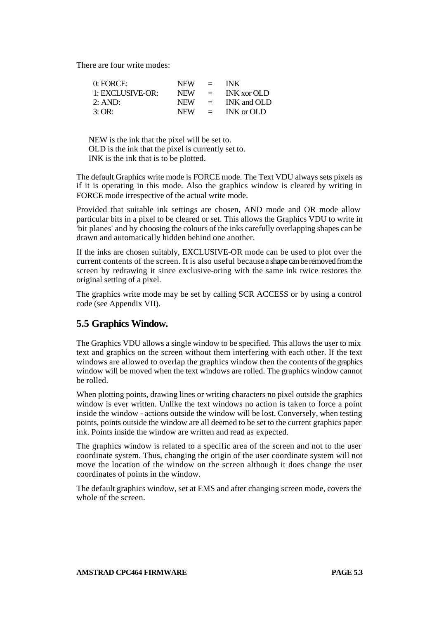There are four write modes:

| $0:$ FORCE:      | NEW -      | $=$                       | <b>INK</b>         |
|------------------|------------|---------------------------|--------------------|
| 1: EXCLUSIVE-OR: | <b>NEW</b> | $\equiv$                  | <b>INK</b> xor OLD |
| 2:AND:           | NEW.       | $\mathbf{r} = \mathbf{r}$ | INK and OLD        |
| 3:OR:            | <b>NEW</b> | $\equiv$                  | INK or OLD         |

NEW is the ink that the pixel will be set to. OLD is the ink that the pixel is currently set to. INK is the ink that is to be plotted.

The default Graphics write mode is FORCE mode. The Text VDU always sets pixels as if it is operating in this mode. Also the graphics window is cleared by writing in FORCE mode irrespective of the actual write mode.

Provided that suitable ink settings are chosen, AND mode and OR mode allow particular bits in a pixel to be cleared or set. This allows the Graphics VDU to write in 'bit planes' and by choosing the colours of the inks carefully overlapping shapes can be drawn and automatically hidden behind one another.

If the inks are chosen suitably, EXCLUSIVE-OR mode can be used to plot over the current contents of the screen. It is also useful because a shape can be removed from the screen by redrawing it since exclusive-oring with the same ink twice restores the original setting of a pixel.

The graphics write mode may be set by calling SCR ACCESS or by using a control code (see Appendix VII).

### **5.5 Graphics Window.**

The Graphics VDU allows a single window to be specified. This allows the user to mix text and graphics on the screen without them interfering with each other. If the text windows are allowed to overlap the graphics window then the contents of the graphics window will be moved when the text windows are rolled. The graphics window cannot be rolled.

When plotting points, drawing lines or writing characters no pixel outside the graphics window is ever written. Unlike the text windows no action is taken to force a point inside the window - actions outside the window will be lost. Conversely, when testing points, points outside the window are all deemed to be set to the current graphics paper ink. Points inside the window are written and read as expected.

The graphics window is related to a specific area of the screen and not to the user coordinate system. Thus, changing the origin of the user coordinate system will not move the location of the window on the screen although it does change the user coordinates of points in the window.

The default graphics window, set at EMS and after changing screen mode, covers the whole of the screen.